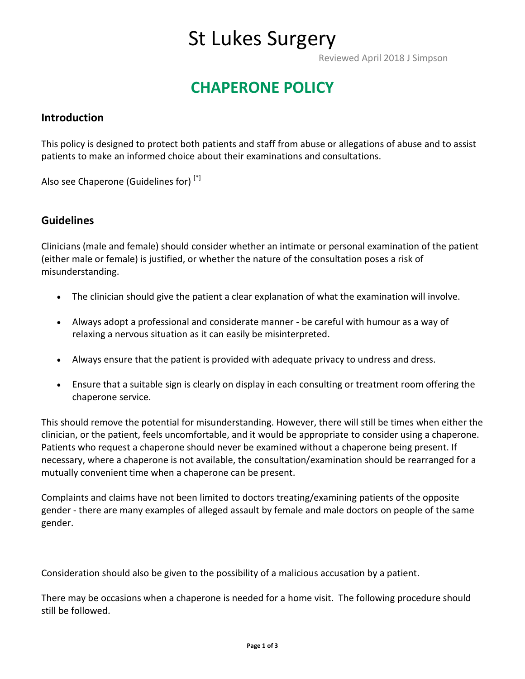## St Lukes Surgery

Reviewed April 2018 J Simpson

### **CHAPERONE POLICY**

#### **Introduction**

This policy is designed to protect both patients and staff from abuse or allegations of abuse and to assist patients to make an informed choice about their examinations and consultations.

Also see Chaperone (Guidelines for) [\*]

#### **Guidelines**

Clinicians (male and female) should consider whether an intimate or personal examination of the patient (either male or female) is justified, or whether the nature of the consultation poses a risk of misunderstanding.

- The clinician should give the patient a clear explanation of what the examination will involve.
- Always adopt a professional and considerate manner be careful with humour as a way of relaxing a nervous situation as it can easily be misinterpreted.
- Always ensure that the patient is provided with adequate privacy to undress and dress.
- Ensure that a suitable sign is clearly on display in each consulting or treatment room offering the chaperone service.

This should remove the potential for misunderstanding. However, there will still be times when either the clinician, or the patient, feels uncomfortable, and it would be appropriate to consider using a chaperone. Patients who request a chaperone should never be examined without a chaperone being present. If necessary, where a chaperone is not available, the consultation/examination should be rearranged for a mutually convenient time when a chaperone can be present.

Complaints and claims have not been limited to doctors treating/examining patients of the opposite gender - there are many examples of alleged assault by female and male doctors on people of the same gender.

Consideration should also be given to the possibility of a malicious accusation by a patient.

There may be occasions when a chaperone is needed for a home visit. The following procedure should still be followed.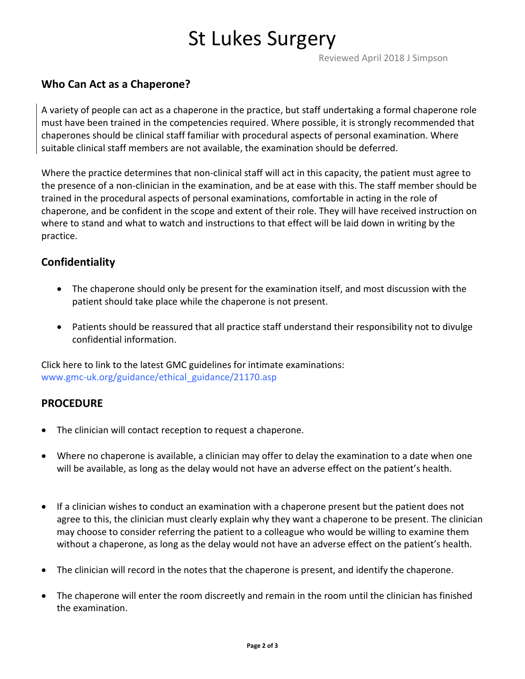# St Lukes Surgery

Reviewed April 2018 J Simpson

### **Who Can Act as a Chaperone?**

A variety of people can act as a chaperone in the practice, but staff undertaking a formal chaperone role must have been trained in the competencies required. Where possible, it is strongly recommended that chaperones should be clinical staff familiar with procedural aspects of personal examination. Where suitable clinical staff members are not available, the examination should be deferred.

Where the practice determines that non-clinical staff will act in this capacity, the patient must agree to the presence of a non-clinician in the examination, and be at ease with this. The staff member should be trained in the procedural aspects of personal examinations, comfortable in acting in the role of chaperone, and be confident in the scope and extent of their role. They will have received instruction on where to stand and what to watch and instructions to that effect will be laid down in writing by the practice.

### **Confidentiality**

- The chaperone should only be present for the examination itself, and most discussion with the patient should take place while the chaperone is not present.
- Patients should be reassured that all practice staff understand their responsibility not to divulge confidential information.

Click here to link to the latest GMC guidelines for intimate examinations: [www.gmc-uk.org/guidance/ethical\\_guidance/21170.asp](http://www.gmc-uk.org/guidance/ethical_guidance/21170.asp)

#### **PROCEDURE**

- The clinician will contact reception to request a chaperone.
- Where no chaperone is available, a clinician may offer to delay the examination to a date when one will be available, as long as the delay would not have an adverse effect on the patient's health.
- If a clinician wishes to conduct an examination with a chaperone present but the patient does not agree to this, the clinician must clearly explain why they want a chaperone to be present. The clinician may choose to consider referring the patient to a colleague who would be willing to examine them without a chaperone, as long as the delay would not have an adverse effect on the patient's health.
- The clinician will record in the notes that the chaperone is present, and identify the chaperone.
- The chaperone will enter the room discreetly and remain in the room until the clinician has finished the examination.